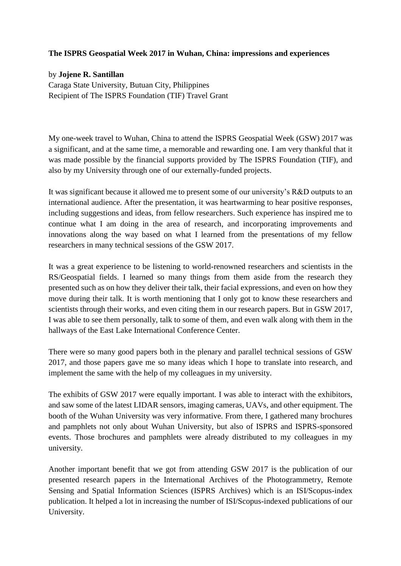## **The ISPRS Geospatial Week 2017 in Wuhan, China: impressions and experiences**

## by **Jojene R. Santillan**

Caraga State University, Butuan City, Philippines Recipient of The ISPRS Foundation (TIF) Travel Grant

My one-week travel to Wuhan, China to attend the ISPRS Geospatial Week (GSW) 2017 was a significant, and at the same time, a memorable and rewarding one. I am very thankful that it was made possible by the financial supports provided by The ISPRS Foundation (TIF), and also by my University through one of our externally-funded projects.

It was significant because it allowed me to present some of our university's R&D outputs to an international audience. After the presentation, it was heartwarming to hear positive responses, including suggestions and ideas, from fellow researchers. Such experience has inspired me to continue what I am doing in the area of research, and incorporating improvements and innovations along the way based on what I learned from the presentations of my fellow researchers in many technical sessions of the GSW 2017.

It was a great experience to be listening to world-renowned researchers and scientists in the RS/Geospatial fields. I learned so many things from them aside from the research they presented such as on how they deliver their talk, their facial expressions, and even on how they move during their talk. It is worth mentioning that I only got to know these researchers and scientists through their works, and even citing them in our research papers. But in GSW 2017, I was able to see them personally, talk to some of them, and even walk along with them in the hallways of the East Lake International Conference Center.

There were so many good papers both in the plenary and parallel technical sessions of GSW 2017, and those papers gave me so many ideas which I hope to translate into research, and implement the same with the help of my colleagues in my university.

The exhibits of GSW 2017 were equally important. I was able to interact with the exhibitors, and saw some of the latest LIDAR sensors, imaging cameras, UAVs, and other equipment. The booth of the Wuhan University was very informative. From there, I gathered many brochures and pamphlets not only about Wuhan University, but also of ISPRS and ISPRS-sponsored events. Those brochures and pamphlets were already distributed to my colleagues in my university.

Another important benefit that we got from attending GSW 2017 is the publication of our presented research papers in the International Archives of the Photogrammetry, Remote Sensing and Spatial Information Sciences (ISPRS Archives) which is an ISI/Scopus-index publication. It helped a lot in increasing the number of ISI/Scopus-indexed publications of our University.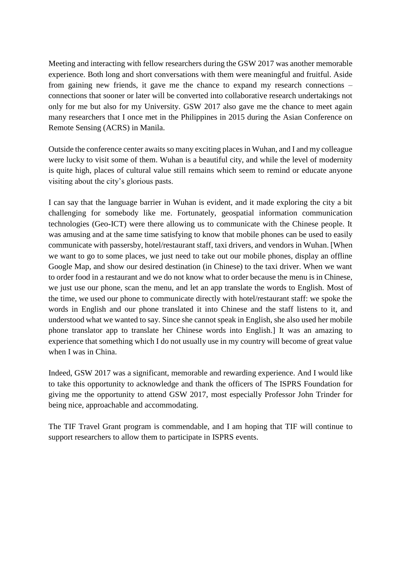Meeting and interacting with fellow researchers during the GSW 2017 was another memorable experience. Both long and short conversations with them were meaningful and fruitful. Aside from gaining new friends, it gave me the chance to expand my research connections – connections that sooner or later will be converted into collaborative research undertakings not only for me but also for my University. GSW 2017 also gave me the chance to meet again many researchers that I once met in the Philippines in 2015 during the Asian Conference on Remote Sensing (ACRS) in Manila.

Outside the conference center awaits so many exciting places in Wuhan, and I and my colleague were lucky to visit some of them. Wuhan is a beautiful city, and while the level of modernity is quite high, places of cultural value still remains which seem to remind or educate anyone visiting about the city's glorious pasts.

I can say that the language barrier in Wuhan is evident, and it made exploring the city a bit challenging for somebody like me. Fortunately, geospatial information communication technologies (Geo-ICT) were there allowing us to communicate with the Chinese people. It was amusing and at the same time satisfying to know that mobile phones can be used to easily communicate with passersby, hotel/restaurant staff, taxi drivers, and vendors in Wuhan. [When we want to go to some places, we just need to take out our mobile phones, display an offline Google Map, and show our desired destination (in Chinese) to the taxi driver. When we want to order food in a restaurant and we do not know what to order because the menu is in Chinese, we just use our phone, scan the menu, and let an app translate the words to English. Most of the time, we used our phone to communicate directly with hotel/restaurant staff: we spoke the words in English and our phone translated it into Chinese and the staff listens to it, and understood what we wanted to say. Since she cannot speak in English, she also used her mobile phone translator app to translate her Chinese words into English.] It was an amazing to experience that something which I do not usually use in my country will become of great value when I was in China.

Indeed, GSW 2017 was a significant, memorable and rewarding experience. And I would like to take this opportunity to acknowledge and thank the officers of The ISPRS Foundation for giving me the opportunity to attend GSW 2017, most especially Professor John Trinder for being nice, approachable and accommodating.

The TIF Travel Grant program is commendable, and I am hoping that TIF will continue to support researchers to allow them to participate in ISPRS events.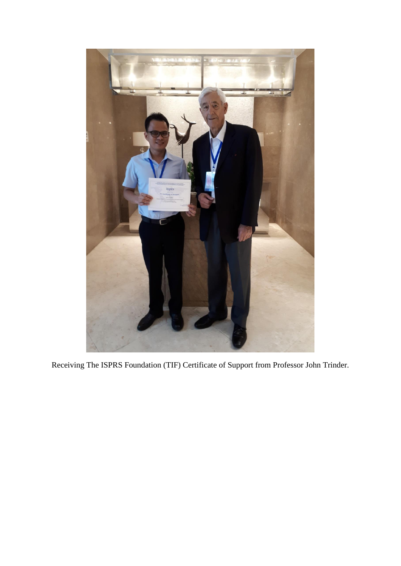

Receiving The ISPRS Foundation (TIF) Certificate of Support from Professor John Trinder.